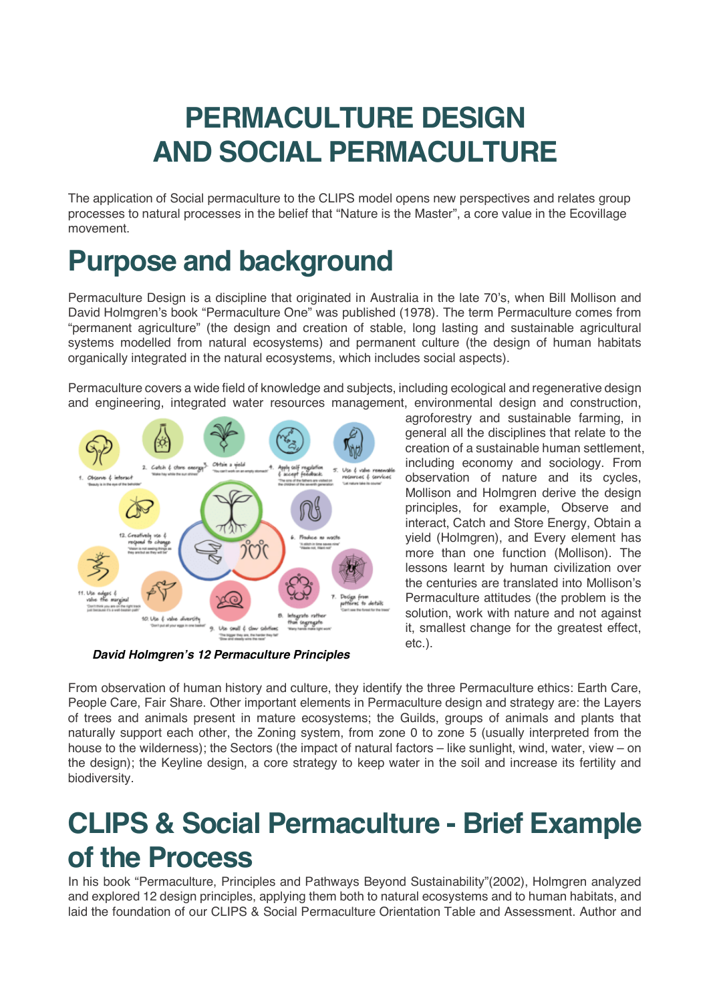# **PERMACULTURE DESIGN AND SOCIAL PERMACULTURE**

The application of Social permaculture to the CLIPS model opens new perspectives and relates group processes to natural processes in the belief that "Nature is the Master", a core value in the Ecovillage movement.

#### **Purpose and background**

Permaculture Design is a discipline that originated in Australia in the late 70's, when Bill Mollison and David Holmgren's book "Permaculture One" was published (1978). The term Permaculture comes from "permanent agriculture" (the design and creation of stable, long lasting and sustainable agricultural systems modelled from natural ecosystems) and permanent culture (the design of human habitats organically integrated in the natural ecosystems, which includes social aspects).

Permaculture covers a wide field of knowledge and subjects, including ecological and regenerative design and engineering, integrated water resources management, environmental design and construction,



*David Holmgren's 12 Permaculture Principles*

agroforestry and sustainable farming, in general all the disciplines that relate to the creation of a sustainable human settlement, including economy and sociology. From observation of nature and its cycles, Mollison and Holmgren derive the design principles, for example, Observe and interact, Catch and Store Energy, Obtain a yield (Holmgren), and Every element has more than one function (Mollison). The lessons learnt by human civilization over the centuries are translated into Mollison's Permaculture attitudes (the problem is the solution, work with nature and not against it, smallest change for the greatest effect, etc.).

From observation of human history and culture, they identify the three Permaculture ethics: Earth Care, People Care, Fair Share. Other important elements in Permaculture design and strategy are: the Layers of trees and animals present in mature ecosystems; the Guilds, groups of animals and plants that naturally support each other, the Zoning system, from zone 0 to zone 5 (usually interpreted from the house to the wilderness); the Sectors (the impact of natural factors – like sunlight, wind, water, view – on the design); the Keyline design, a core strategy to keep water in the soil and increase its fertility and biodiversity.

### **CLIPS & Social Permaculture - Brief Example of the Process**

In his book "Permaculture, Principles and Pathways Beyond Sustainability"(2002), Holmgren analyzed and explored 12 design principles, applying them both to natural ecosystems and to human habitats, and laid the foundation of our CLIPS & Social Permaculture Orientation Table and Assessment. Author and